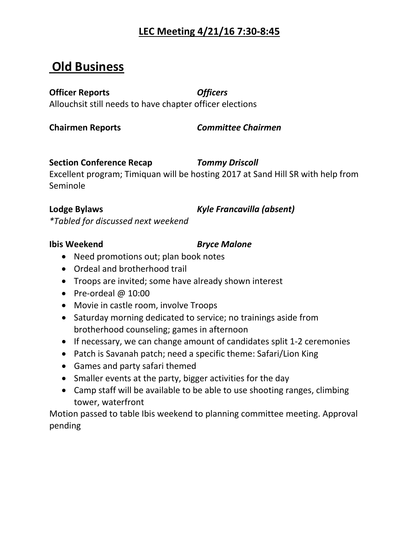## **LEC Meeting 4/21/16 7:30-8:45**

# **Old Business**

## **Officer Reports** *Officers*

Allouchsit still needs to have chapter officer elections

**Chairmen Reports** *Committee Chairmen* 

## **Section Conference Recap** *Tommy Driscoll*

Excellent program; Timiquan will be hosting 2017 at Sand Hill SR with help from Seminole

**Lodge Bylaws** *Kyle Francavilla (absent)*

*\*Tabled for discussed next weekend*

## **Ibis Weekend** *Bryce Malone*

- Need promotions out; plan book notes
- Ordeal and brotherhood trail
- Troops are invited; some have already shown interest
- Pre-ordeal @ 10:00
- Movie in castle room, involve Troops
- Saturday morning dedicated to service; no trainings aside from brotherhood counseling; games in afternoon
- If necessary, we can change amount of candidates split 1-2 ceremonies
- Patch is Savanah patch; need a specific theme: Safari/Lion King
- Games and party safari themed
- Smaller events at the party, bigger activities for the day
- Camp staff will be available to be able to use shooting ranges, climbing tower, waterfront

Motion passed to table Ibis weekend to planning committee meeting. Approval pending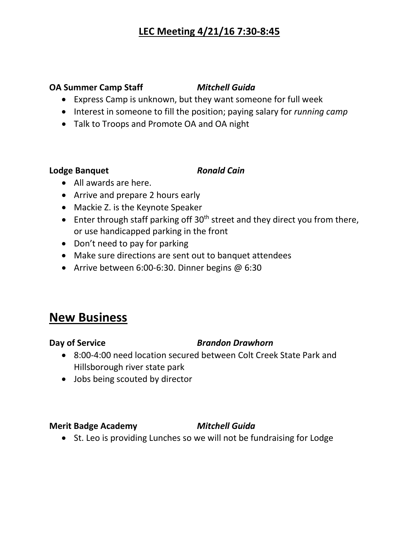## **LEC Meeting 4/21/16 7:30-8:45**

## **OA Summer Camp Staff** *Mitchell Guida*

- Express Camp is unknown, but they want someone for full week
- Interest in someone to fill the position; paying salary for *running camp*
- Talk to Troops and Promote OA and OA night

### **Lodge Banquet** *Ronald Cain*

- All awards are here.
- Arrive and prepare 2 hours early
- Mackie Z. is the Keynote Speaker
- Enter through staff parking off  $30<sup>th</sup>$  street and they direct you from there, or use handicapped parking in the front
- Don't need to pay for parking
- Make sure directions are sent out to banquet attendees
- Arrive between 6:00-6:30. Dinner begins @ 6:30

# **New Business**

## **Day of Service** *Brandon Drawhorn*

- 8:00-4:00 need location secured between Colt Creek State Park and Hillsborough river state park
- Jobs being scouted by director

## **Merit Badge Academy** *Mitchell Guida*

• St. Leo is providing Lunches so we will not be fundraising for Lodge